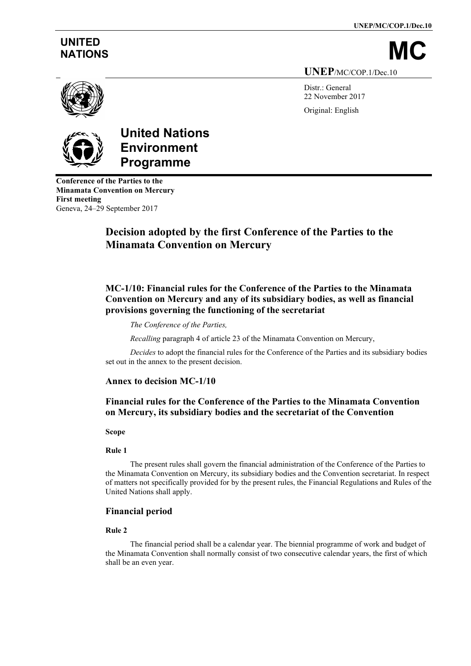**UNEP/MC/COP.1/Dec.10**

# **UNITED**

NATIONS **UNEP**/MC/COP.1/Dec.10

Distr.: General

22 November 2017 Original: English



# **United Nations Environment Programme**

**Conference of the Parties to the Minamata Convention on Mercury First meeting** Geneva, 24–29 September 2017

# **Decision adopted by the first Conference of the Parties to the Minamata Convention on Mercury**

# **MC-1/10: Financial rules for the Conference of the Parties to the Minamata Convention on Mercury and any of its subsidiary bodies, as well as financial provisions governing the functioning of the secretariat**

# *The Conference of the Parties,*

*Recalling* paragraph 4 of article 23 of the Minamata Convention on Mercury,

*Decides* to adopt the financial rules for the Conference of the Parties and its subsidiary bodies set out in the annex to the present decision.

# **Annex to decision MC-1/10**

# **Financial rules for the Conference of the Parties to the Minamata Convention on Mercury, its subsidiary bodies and the secretariat of the Convention**

# **Scope**

# **Rule 1**

The present rules shall govern the financial administration of the Conference of the Parties to the Minamata Convention on Mercury, its subsidiary bodies and the Convention secretariat. In respect of matters not specifically provided for by the present rules, the Financial Regulations and Rules of the United Nations shall apply.

# **Financial period**

# **Rule 2**

The financial period shall be a calendar year. The biennial programme of work and budget of the Minamata Convention shall normally consist of two consecutive calendar years, the first of which shall be an even year.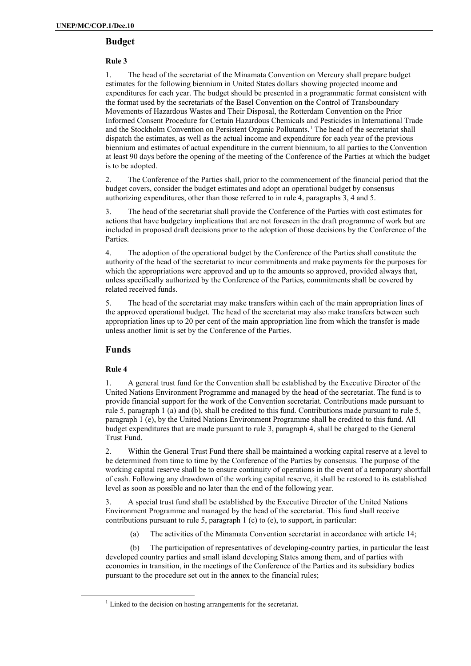# **Budget**

# **Rule 3**

1. The head of the secretariat of the Minamata Convention on Mercury shall prepare budget estimates for the following biennium in United States dollars showing projected income and expenditures for each year. The budget should be presented in a programmatic format consistent with the format used by the secretariats of the Basel Convention on the Control of Transboundary Movements of Hazardous Wastes and Their Disposal, the Rotterdam Convention on the Prior Informed Consent Procedure for Certain Hazardous Chemicals and Pesticides in International Trade and the Stockholm Convention on Persistent Organic Pollutants.<sup>[1](#page-1-0)</sup> The head of the secretariat shall dispatch the estimates, as well as the actual income and expenditure for each year of the previous biennium and estimates of actual expenditure in the current biennium, to all parties to the Convention at least 90 days before the opening of the meeting of the Conference of the Parties at which the budget is to be adopted.

2. The Conference of the Parties shall, prior to the commencement of the financial period that the budget covers, consider the budget estimates and adopt an operational budget by consensus authorizing expenditures, other than those referred to in rule 4, paragraphs 3, 4 and 5.

3. The head of the secretariat shall provide the Conference of the Parties with cost estimates for actions that have budgetary implications that are not foreseen in the draft programme of work but are included in proposed draft decisions prior to the adoption of those decisions by the Conference of the Parties.

4. The adoption of the operational budget by the Conference of the Parties shall constitute the authority of the head of the secretariat to incur commitments and make payments for the purposes for which the appropriations were approved and up to the amounts so approved, provided always that, unless specifically authorized by the Conference of the Parties, commitments shall be covered by related received funds.

5. The head of the secretariat may make transfers within each of the main appropriation lines of the approved operational budget. The head of the secretariat may also make transfers between such appropriation lines up to 20 per cent of the main appropriation line from which the transfer is made unless another limit is set by the Conference of the Parties.

# **Funds**

# **Rule 4**

1. A general trust fund for the Convention shall be established by the Executive Director of the United Nations Environment Programme and managed by the head of the secretariat. The fund is to provide financial support for the work of the Convention secretariat. Contributions made pursuant to rule 5, paragraph 1 (a) and (b), shall be credited to this fund. Contributions made pursuant to rule 5, paragraph 1 (e), by the United Nations Environment Programme shall be credited to this fund. All budget expenditures that are made pursuant to rule 3, paragraph 4, shall be charged to the General Trust Fund.

2. Within the General Trust Fund there shall be maintained a working capital reserve at a level to be determined from time to time by the Conference of the Parties by consensus. The purpose of the working capital reserve shall be to ensure continuity of operations in the event of a temporary shortfall of cash. Following any drawdown of the working capital reserve, it shall be restored to its established level as soon as possible and no later than the end of the following year.

3. A special trust fund shall be established by the Executive Director of the United Nations Environment Programme and managed by the head of the secretariat. This fund shall receive contributions pursuant to rule 5, paragraph 1 (c) to (e), to support, in particular:

(a) The activities of the Minamata Convention secretariat in accordance with article 14;

(b) The participation of representatives of developing-country parties, in particular the least developed country parties and small island developing States among them, and of parties with economies in transition, in the meetings of the Conference of the Parties and its subsidiary bodies pursuant to the procedure set out in the annex to the financial rules;

<span id="page-1-0"></span> $<sup>1</sup>$  Linked to the decision on hosting arrangements for the secretariat.</sup>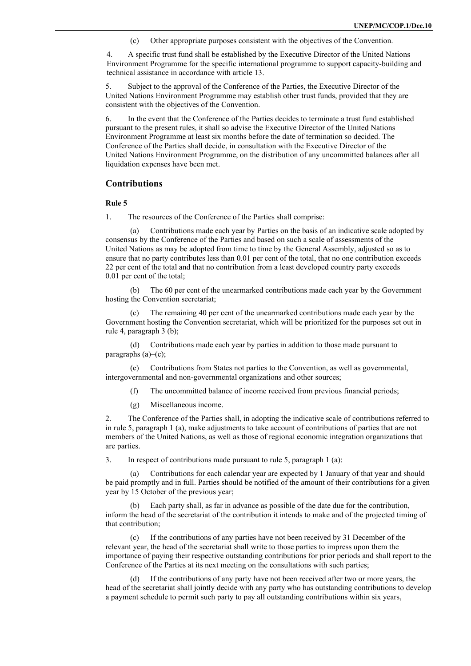(c) Other appropriate purposes consistent with the objectives of the Convention.

4. A specific trust fund shall be established by the Executive Director of the United Nations Environment Programme for the specific international programme to support capacity-building and technical assistance in accordance with article 13.

5. Subject to the approval of the Conference of the Parties, the Executive Director of the United Nations Environment Programme may establish other trust funds, provided that they are consistent with the objectives of the Convention.

6. In the event that the Conference of the Parties decides to terminate a trust fund established pursuant to the present rules, it shall so advise the Executive Director of the United Nations Environment Programme at least six months before the date of termination so decided. The Conference of the Parties shall decide, in consultation with the Executive Director of the United Nations Environment Programme, on the distribution of any uncommitted balances after all liquidation expenses have been met.

#### **Contributions**

#### **Rule 5**

1. The resources of the Conference of the Parties shall comprise:

Contributions made each year by Parties on the basis of an indicative scale adopted by consensus by the Conference of the Parties and based on such a scale of assessments of the United Nations as may be adopted from time to time by the General Assembly, adjusted so as to ensure that no party contributes less than 0.01 per cent of the total, that no one contribution exceeds 22 per cent of the total and that no contribution from a least developed country party exceeds 0.01 per cent of the total;

(b) The 60 per cent of the unearmarked contributions made each year by the Government hosting the Convention secretariat;

The remaining 40 per cent of the unearmarked contributions made each year by the Government hosting the Convention secretariat, which will be prioritized for the purposes set out in rule 4, paragraph 3 (b);

(d) Contributions made each year by parties in addition to those made pursuant to paragraphs (a)–(c);

Contributions from States not parties to the Convention, as well as governmental, intergovernmental and non-governmental organizations and other sources;

- (f) The uncommitted balance of income received from previous financial periods;
- (g) Miscellaneous income.

2. The Conference of the Parties shall, in adopting the indicative scale of contributions referred to in rule 5, paragraph 1 (a), make adjustments to take account of contributions of parties that are not members of the United Nations, as well as those of regional economic integration organizations that are parties.

3. In respect of contributions made pursuant to rule 5, paragraph 1 (a):

(a) Contributions for each calendar year are expected by 1 January of that year and should be paid promptly and in full. Parties should be notified of the amount of their contributions for a given year by 15 October of the previous year;

Each party shall, as far in advance as possible of the date due for the contribution, inform the head of the secretariat of the contribution it intends to make and of the projected timing of that contribution;

(c) If the contributions of any parties have not been received by 31 December of the relevant year, the head of the secretariat shall write to those parties to impress upon them the importance of paying their respective outstanding contributions for prior periods and shall report to the Conference of the Parties at its next meeting on the consultations with such parties;

(d) If the contributions of any party have not been received after two or more years, the head of the secretariat shall jointly decide with any party who has outstanding contributions to develop a payment schedule to permit such party to pay all outstanding contributions within six years,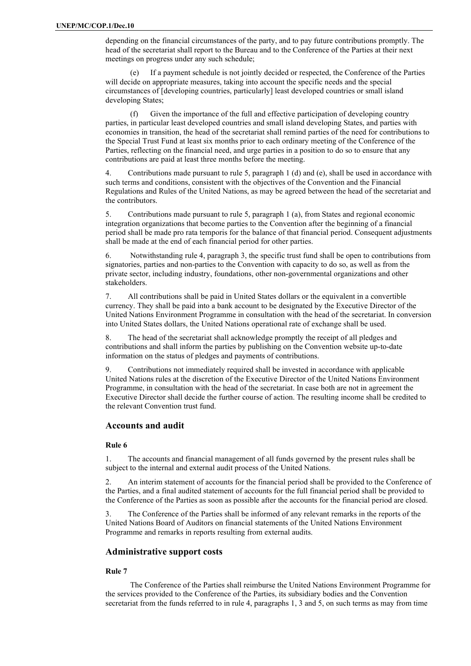depending on the financial circumstances of the party, and to pay future contributions promptly. The head of the secretariat shall report to the Bureau and to the Conference of the Parties at their next meetings on progress under any such schedule;

If a payment schedule is not jointly decided or respected, the Conference of the Parties will decide on appropriate measures, taking into account the specific needs and the special circumstances of [developing countries, particularly] least developed countries or small island developing States;

(f) Given the importance of the full and effective participation of developing country parties, in particular least developed countries and small island developing States, and parties with economies in transition, the head of the secretariat shall remind parties of the need for contributions to the Special Trust Fund at least six months prior to each ordinary meeting of the Conference of the Parties, reflecting on the financial need, and urge parties in a position to do so to ensure that any contributions are paid at least three months before the meeting.

4. Contributions made pursuant to rule 5, paragraph 1 (d) and (e), shall be used in accordance with such terms and conditions, consistent with the objectives of the Convention and the Financial Regulations and Rules of the United Nations, as may be agreed between the head of the secretariat and the contributors.

5. Contributions made pursuant to rule 5, paragraph 1 (a), from States and regional economic integration organizations that become parties to the Convention after the beginning of a financial period shall be made pro rata temporis for the balance of that financial period. Consequent adjustments shall be made at the end of each financial period for other parties.

6. Notwithstanding rule 4, paragraph 3, the specific trust fund shall be open to contributions from signatories, parties and non-parties to the Convention with capacity to do so, as well as from the private sector, including industry, foundations, other non-governmental organizations and other stakeholders.

7. All contributions shall be paid in United States dollars or the equivalent in a convertible currency. They shall be paid into a bank account to be designated by the Executive Director of the United Nations Environment Programme in consultation with the head of the secretariat. In conversion into United States dollars, the United Nations operational rate of exchange shall be used.

8. The head of the secretariat shall acknowledge promptly the receipt of all pledges and contributions and shall inform the parties by publishing on the Convention website up-to-date information on the status of pledges and payments of contributions.

9. Contributions not immediately required shall be invested in accordance with applicable United Nations rules at the discretion of the Executive Director of the United Nations Environment Programme, in consultation with the head of the secretariat. In case both are not in agreement the Executive Director shall decide the further course of action. The resulting income shall be credited to the relevant Convention trust fund.

# **Accounts and audit**

#### **Rule 6**

1. The accounts and financial management of all funds governed by the present rules shall be subject to the internal and external audit process of the United Nations.

2. An interim statement of accounts for the financial period shall be provided to the Conference of the Parties, and a final audited statement of accounts for the full financial period shall be provided to the Conference of the Parties as soon as possible after the accounts for the financial period are closed.

3. The Conference of the Parties shall be informed of any relevant remarks in the reports of the United Nations Board of Auditors on financial statements of the United Nations Environment Programme and remarks in reports resulting from external audits.

# **Administrative support costs**

#### **Rule 7**

The Conference of the Parties shall reimburse the United Nations Environment Programme for the services provided to the Conference of the Parties, its subsidiary bodies and the Convention secretariat from the funds referred to in rule 4, paragraphs 1, 3 and 5, on such terms as may from time